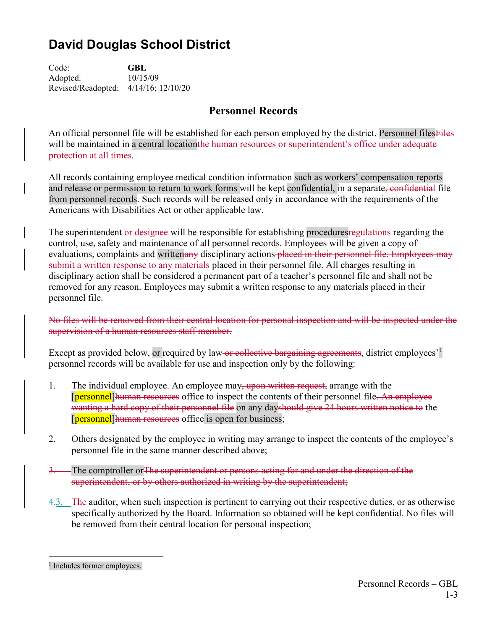# **David Douglas School District**

Code: **GBL** Adopted: 10/15/09 Revised/Readopted: 4/14/16; 12/10/20

## **Personnel Records**

An official personnel file will be established for each person employed by the district. Personnel filesFiles will be maintained in a central locationthe human resources or superintendent's office under adequate protection at all times.

All records containing employee medical condition information such as workers' compensation reports and release or permission to return to work forms will be kept confidential, in a separate, confidential file from personnel records. Such records will be released only in accordance with the requirements of the Americans with Disabilities Act or other applicable law.

The superintendent or designee will be responsible for establishing procedures regulations regarding the control, use, safety and maintenance of all personnel records. Employees will be given a copy of evaluations, complaints and writtenany disciplinary actions placed in their personnel file. Employees may submit a written response to any materials placed in their personnel file. All charges resulting in disciplinary action shall be considered a permanent part of a teacher's personnel file and shall not be removed for any reason. Employees may submit a written response to any materials placed in their personnel file.

No files will be removed from their central location for personal inspection and will be inspected under the supervision of a human resources staff member.

Except as provided below, or required by law-or collective bargaining agreements, district employees<sup>'[1](#page-0-0)</sup> personnel records will be available for use and inspection only by the following:

- 1. The individual employee. An employee may, upon written request, arrange with the **[personnel]** human resources office to inspect the contents of their personnel file. An employee wanting a hard copy of their personnel file on any dayshould give 24 hours written notice to the [personnel] human resources office is open for business;
- 2. Others designated by the employee in writing may arrange to inspect the contents of the employee's personnel file in the same manner described above;
- 3. The comptroller orThe superintendent or persons acting for and under the direction of the superintendent, or by others authorized in writing by the superintendent;
- 4.3. The auditor, when such inspection is pertinent to carrying out their respective duties, or as otherwise specifically authorized by the Board. Information so obtained will be kept confidential. No files will be removed from their central location for personal inspection;

<span id="page-0-0"></span><sup>&</sup>lt;sup>1</sup> Includes former employees.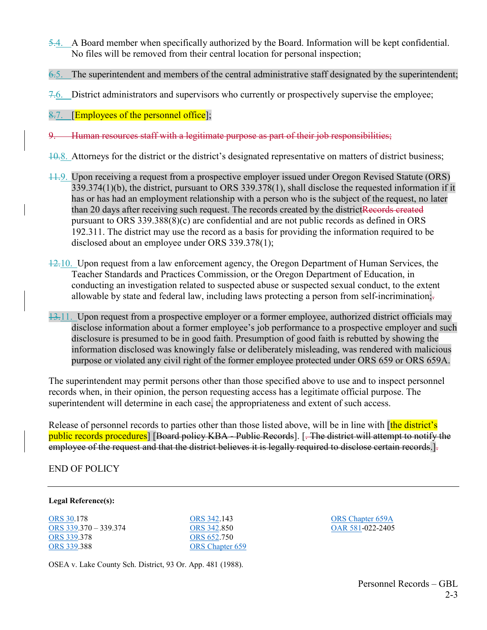- 5.4. A Board member when specifically authorized by the Board. Information will be kept confidential. No files will be removed from their central location for personal inspection;
- 6.5. The superintendent and members of the central administrative staff designated by the superintendent;
- 7.6. District administrators and supervisors who currently or prospectively supervise the employee;

### 8.7. **[Employees of the personnel office**];

- 9. Human resources staff with a legitimate purpose as part of their job responsibilities;
- 10.8. Attorneys for the district or the district's designated representative on matters of district business;
- 11.9. Upon receiving a request from a prospective employer issued under Oregon Revised Statute (ORS) 339.374(1)(b), the district, pursuant to ORS 339.378(1), shall disclose the requested information if it has or has had an employment relationship with a person who is the subject of the request, no later than 20 days after receiving such request. The records created by the districtRecords created pursuant to ORS 339.388(8)(c) are confidential and are not public records as defined in ORS 192.311. The district may use the record as a basis for providing the information required to be disclosed about an employee under ORS 339.378(1);
- $\frac{12.10}{12.10}$ . Upon request from a law enforcement agency, the Oregon Department of Human Services, the Teacher Standards and Practices Commission, or the Oregon Department of Education, in conducting an investigation related to suspected abuse or suspected sexual conduct, to the extent allowable by state and federal law, including laws protecting a person from self-incrimination;.
- 13.11. Upon request from a prospective employer or a former employee, authorized district officials may disclose information about a former employee's job performance to a prospective employer and such disclosure is presumed to be in good faith. Presumption of good faith is rebutted by showing the information disclosed was knowingly false or deliberately misleading, was rendered with malicious purpose or violated any civil right of the former employee protected under ORS 659 or ORS 659A.

The superintendent may permit persons other than those specified above to use and to inspect personnel records when, in their opinion, the person requesting access has a legitimate official purpose. The superintendent will determine in each case, the appropriateness and extent of such access.

Release of personnel records to parties other than those listed above, will be in line with [the district's public records procedures] [Board policy KBA - Public Records]. [. The district will attempt to notify the employee of the request and that the district believes it is legally required to disclose certain records.

#### END OF POLICY

#### **Legal Reference(s):**

[ORS](http://policy.osba.org/orsredir.asp?ors=ors--30) 30.178 [ORS 339.](http://policy.osba.org/orsredir.asp?ors=ors-339)370 – 339.374 [ORS 339.](http://policy.osba.org/orsredir.asp?ors=ors-339)378 [ORS 339.](http://policy.osba.org/orsredir.asp?ors=ors-339)388

[ORS 342.](http://policy.osba.org/orsredir.asp?ors=ors-342)143 [ORS 342.](http://policy.osba.org/orsredir.asp?ors=ors-342)850 [ORS 652.](http://policy.osba.org/orsredir.asp?ors=ors-652)750 [ORS Chapter 659](http://policy.osba.org/orsredir.asp?ors=ors-659) [ORS Chapter 659A](http://policy.osba.org/orsredir.asp?ors=ors-659a) [OAR 581-](http://policy.osba.org/orsredir.asp?ors=oar-581)022-2405

OSEA v. Lake County Sch. District, 93 Or. App. 481 (1988).